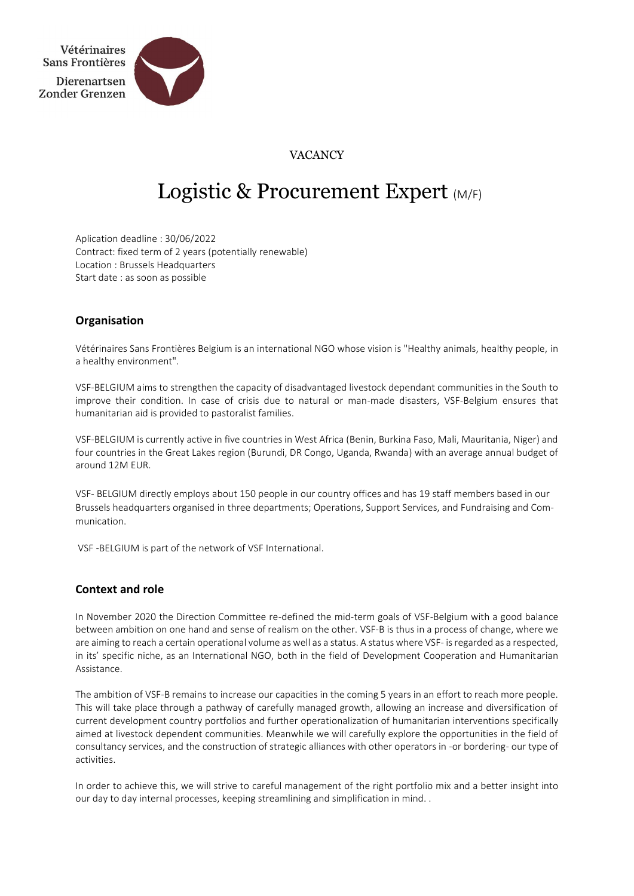

# VACANCY

# Logistic & Procurement Expert (M/F)

Aplication deadline : 30/06/2022 Contract: fixed term of 2 years (potentially renewable) Location : Brussels Headquarters Start date : as soon as possible

# **Organisation**

Vétérinaires Sans Frontières Belgium is an international NGO whose vision is "Healthy animals, healthy people, in a healthy environment".

VSF-BELGIUM aims to strengthen the capacity of disadvantaged livestock dependant communities in the South to improve their condition. In case of crisis due to natural or man-made disasters, VSF-Belgium ensures that humanitarian aid is provided to pastoralist families.

VSF-BELGIUM is currently active in five countries in West Africa (Benin, Burkina Faso, Mali, Mauritania, Niger) and four countries in the Great Lakes region (Burundi, DR Congo, Uganda, Rwanda) with an average annual budget of around 12M EUR.

VSF- BELGIUM directly employs about 150 people in our country offices and has 19 staff members based in our Brussels headquarters organised in three departments; Operations, Support Services, and Fundraising and Communication.

VSF -BELGIUM is part of the network of VSF International.

# **Context and role**

In November 2020 the Direction Committee re-defined the mid-term goals of VSF-Belgium with a good balance between ambition on one hand and sense of realism on the other. VSF-B is thus in a process of change, where we are aiming to reach a certain operational volume as well as a status. A status where VSF- is regarded as a respected, in its' specific niche, as an International NGO, both in the field of Development Cooperation and Humanitarian Assistance.

The ambition of VSF-B remains to increase our capacities in the coming 5 years in an effort to reach more people. This will take place through a pathway of carefully managed growth, allowing an increase and diversification of current development country portfolios and further operationalization of humanitarian interventions specifically aimed at livestock dependent communities. Meanwhile we will carefully explore the opportunities in the field of consultancy services, and the construction of strategic alliances with other operators in -or bordering- our type of activities.

In order to achieve this, we will strive to careful management of the right portfolio mix and a better insight into our day to day internal processes, keeping streamlining and simplification in mind. .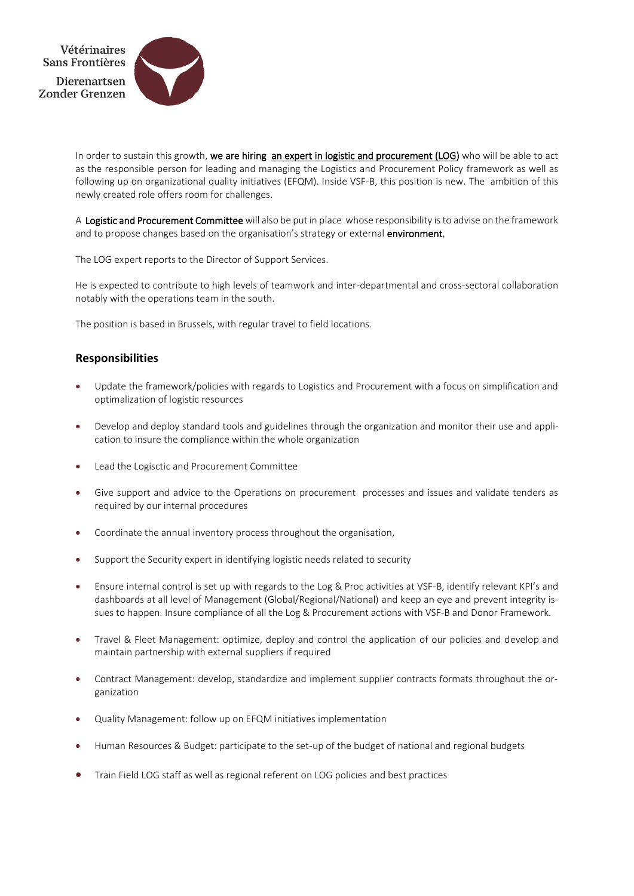

In order to sustain this growth, we are hiring an expert in logistic and procurement (LOG) who will be able to act as the responsible person for leading and managing the Logistics and Procurement Policy framework as well as following up on organizational quality initiatives (EFQM). Inside VSF-B, this position is new. The ambition of this newly created role offers room for challenges.

A Logistic and Procurement Committee will also be put in place whose responsibility is to advise on the framework and to propose changes based on the organisation's strategy or external environment,

The LOG expert reports to the Director of Support Services.

He is expected to contribute to high levels of teamwork and inter-departmental and cross-sectoral collaboration notably with the operations team in the south.

The position is based in Brussels, with regular travel to field locations.

# **Responsibilities**

- Update the framework/policies with regards to Logistics and Procurement with a focus on simplification and optimalization of logistic resources
- Develop and deploy standard tools and guidelines through the organization and monitor their use and application to insure the compliance within the whole organization
- Lead the Logisctic and Procurement Committee
- Give support and advice to the Operations on procurement processes and issues and validate tenders as required by our internal procedures
- Coordinate the annual inventory process throughout the organisation,
- Support the Security expert in identifying logistic needs related to security
- Ensure internal control is set up with regards to the Log & Proc activities at VSF-B, identify relevant KPI's and dashboards at all level of Management (Global/Regional/National) and keep an eye and prevent integrity issues to happen. Insure compliance of all the Log & Procurement actions with VSF-B and Donor Framework.
- Travel & Fleet Management: optimize, deploy and control the application of our policies and develop and maintain partnership with external suppliers if required
- Contract Management: develop, standardize and implement supplier contracts formats throughout the organization
- Quality Management: follow up on EFQM initiatives implementation
- Human Resources & Budget: participate to the set-up of the budget of national and regional budgets
- Train Field LOG staff as well as regional referent on LOG policies and best practices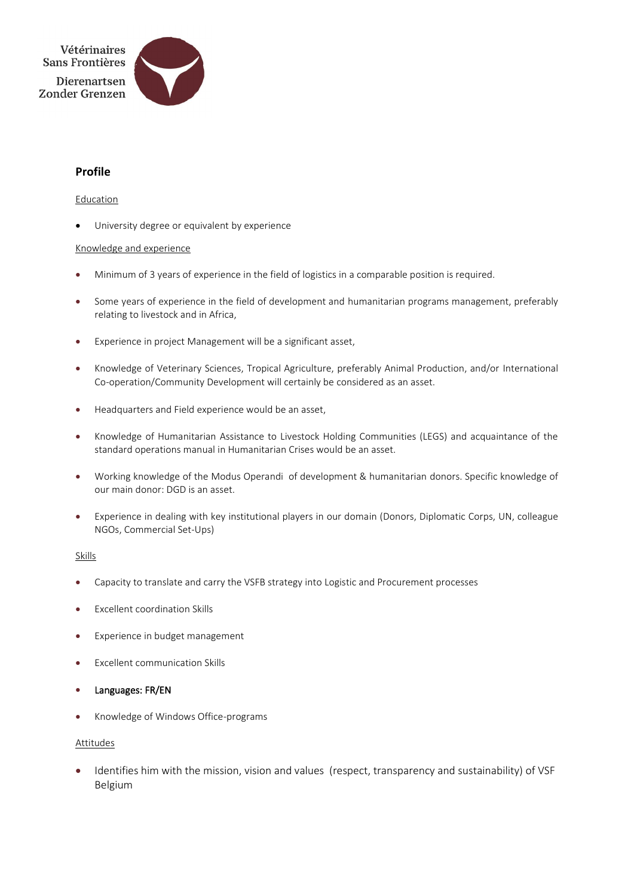



# **Profile**

### Education

University degree or equivalent by experience

## Knowledge and experience

- Minimum of 3 years of experience in the field of logistics in a comparable position is required.
- Some years of experience in the field of development and humanitarian programs management, preferably relating to livestock and in Africa,
- Experience in project Management will be a significant asset,
- Knowledge of Veterinary Sciences, Tropical Agriculture, preferably Animal Production, and/or International Co-operation/Community Development will certainly be considered as an asset.
- Headquarters and Field experience would be an asset,
- Knowledge of Humanitarian Assistance to Livestock Holding Communities (LEGS) and acquaintance of the standard operations manual in Humanitarian Crises would be an asset.
- Working knowledge of the Modus Operandi of development & humanitarian donors. Specific knowledge of our main donor: DGD is an asset.
- Experience in dealing with key institutional players in our domain (Donors, Diplomatic Corps, UN, colleague NGOs, Commercial Set-Ups)

### Skills

- Capacity to translate and carry the VSFB strategy into Logistic and Procurement processes
- **Excellent coordination Skills**
- Experience in budget management
- Excellent communication Skills
- Languages: FR/EN
- Knowledge of Windows Office-programs

### Attitudes

• Identifies him with the mission, vision and values (respect, transparency and sustainability) of VSF Belgium